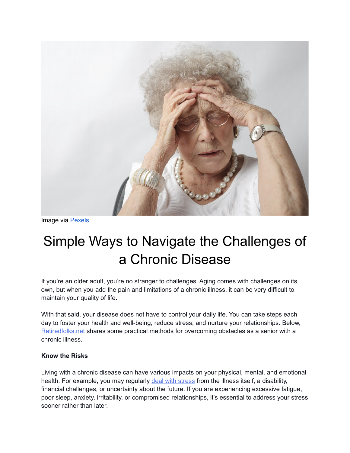

Image via [Pexels](https://www.pexels.com/photo/woman-with-headache-3921418/)

# Simple Ways to Navigate the Challenges of a Chronic Disease

If you're an older adult, you're no stranger to challenges. Aging comes with challenges on its own, but when you add the pain and limitations of a chronic illness, it can be very difficult to maintain your quality of life.

With that said, your disease does not have to control your daily life. You can take steps each day to foster your health and well-being, reduce stress, and nurture your relationships. Below, [Retiredfolks.net](https://retiredfolks.net/seniorsinfo/) shares some practical methods for overcoming obstacles as a senior with a chronic illness.

#### **Know the Risks**

Living with a chronic disease can have various impacts on your physical, mental, and emotional health. For example, you may regularly [deal with stress](https://www.mayoclinic.org/healthy-lifestyle/stress-management/in-depth/stress-symptoms/art-20050987) from the illness itself, a disability, financial challenges, or uncertainty about the future. If you are experiencing excessive fatigue, poor sleep, anxiety, irritability, or compromised relationships, it's essential to address your stress sooner rather than later.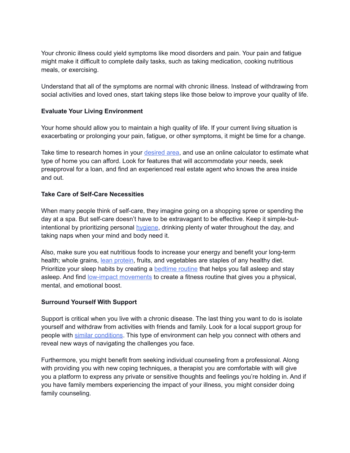Your chronic illness could yield symptoms like mood disorders and pain. Your pain and fatigue might make it difficult to complete daily tasks, such as taking medication, cooking nutritious meals, or exercising.

Understand that all of the symptoms are normal with chronic illness. Instead of withdrawing from social activities and loved ones, start taking steps like those below to improve your quality of life.

## **Evaluate Your Living Environment**

Your home should allow you to maintain a high quality of life. If your current living situation is exacerbating or prolonging your pain, fatigue, or other symptoms, it might be time for a change.

Take time to research homes in your [desired area,](https://www.redfin.com/guides/how-to-buy-a-home) and use an online calculator to estimate what type of home you can afford. Look for features that will accommodate your needs, seek preapproval for a loan, and find an experienced real estate agent who knows the area inside and out.

#### **Take Care of Self-Care Necessities**

When many people think of self-care, they imagine going on a shopping spree or spending the day at a spa. But self-care doesn't have to be extravagant to be effective. Keep it simple-butintentional by prioritizing personal [hygiene,](https://www.acvillage.net/resources/hygiene-tips-for-seniors/) drinking plenty of water throughout the day, and taking naps when your mind and body need it.

Also, make sure you eat nutritious foods to increase your energy and benefit your long-term health; whole grains, [lean protein,](https://www.medicalnewstoday.com/articles/324514) fruits, and vegetables are staples of any healthy diet. Prioritize your sleep habits by creating a [bedtime routine](https://www.ghostbed.com/pages/guide-how-to-sleep-with-chronic-illness) that helps you fall asleep and stay asleep. And find [low-impact movements](https://www.seniorsafetyreviews.com/5-best-exercises-recommended-senior-health-strength-balance/) to create a fitness routine that gives you a physical, mental, and emotional boost.

## **Surround Yourself With Support**

Support is critical when you live with a chronic disease. The last thing you want to do is isolate yourself and withdraw from activities with friends and family. Look for a local support group for people with [similar conditions.](https://www.winchesterhospital.org/health-library/article?id=24805) This type of environment can help you connect with others and reveal new ways of navigating the challenges you face.

Furthermore, you might benefit from seeking individual counseling from a professional. Along with providing you with new coping techniques, a therapist you are comfortable with will give you a platform to express any private or sensitive thoughts and feelings you're holding in. And if you have family members experiencing the impact of your illness, you might consider doing family counseling.